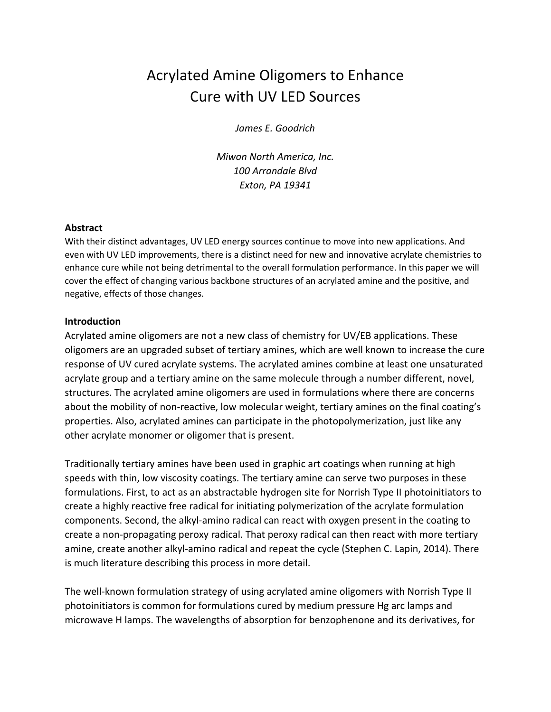# Acrylated Amine Oligomers to Enhance Cure with UV LED Sources

*James E. Goodrich*

*Miwon North America, Inc. 100 Arrandale Blvd Exton, PA 19341*

#### **Abstract**

With their distinct advantages, UV LED energy sources continue to move into new applications. And even with UV LED improvements, there is a distinct need for new and innovative acrylate chemistries to enhance cure while not being detrimental to the overall formulation performance. In this paper we will cover the effect of changing various backbone structures of an acrylated amine and the positive, and negative, effects of those changes.

#### **Introduction**

Acrylated amine oligomers are not a new class of chemistry for UV/EB applications. These oligomers are an upgraded subset of tertiary amines, which are well known to increase the cure response of UV cured acrylate systems. The acrylated amines combine at least one unsaturated acrylate group and a tertiary amine on the same molecule through a number different, novel, structures. The acrylated amine oligomers are used in formulations where there are concerns about the mobility of non-reactive, low molecular weight, tertiary amines on the final coating's properties. Also, acrylated amines can participate in the photopolymerization, just like any other acrylate monomer or oligomer that is present.

Traditionally tertiary amines have been used in graphic art coatings when running at high speeds with thin, low viscosity coatings. The tertiary amine can serve two purposes in these formulations. First, to act as an abstractable hydrogen site for Norrish Type II photoinitiators to create a highly reactive free radical for initiating polymerization of the acrylate formulation components. Second, the alkyl-amino radical can react with oxygen present in the coating to create a non-propagating peroxy radical. That peroxy radical can then react with more tertiary amine, create another alkyl-amino radical and repeat the cycle (Stephen C. Lapin, 2014). There is much literature describing this process in more detail.

The well-known formulation strategy of using acrylated amine oligomers with Norrish Type II photoinitiators is common for formulations cured by medium pressure Hg arc lamps and microwave H lamps. The wavelengths of absorption for benzophenone and its derivatives, for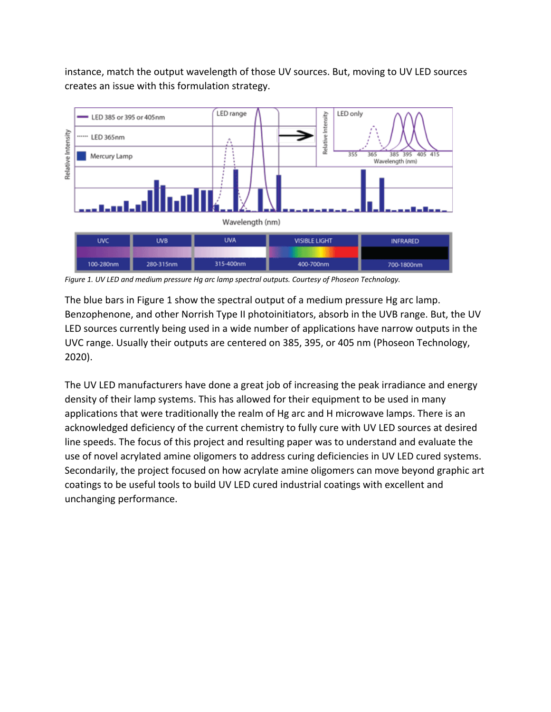instance, match the output wavelength of those UV sources. But, moving to UV LED sources creates an issue with this formulation strategy.



*Figure 1. UV LED and medium pressure Hg arc lamp spectral outputs. Courtesy of Phoseon Technology.*

The blue bars in Figure 1 show the spectral output of a medium pressure Hg arc lamp. Benzophenone, and other Norrish Type II photoinitiators, absorb in the UVB range. But, the UV LED sources currently being used in a wide number of applications have narrow outputs in the UVC range. Usually their outputs are centered on 385, 395, or 405 nm (Phoseon Technology, 2020).

The UV LED manufacturers have done a great job of increasing the peak irradiance and energy density of their lamp systems. This has allowed for their equipment to be used in many applications that were traditionally the realm of Hg arc and H microwave lamps. There is an acknowledged deficiency of the current chemistry to fully cure with UV LED sources at desired line speeds. The focus of this project and resulting paper was to understand and evaluate the use of novel acrylated amine oligomers to address curing deficiencies in UV LED cured systems. Secondarily, the project focused on how acrylate amine oligomers can move beyond graphic art coatings to be useful tools to build UV LED cured industrial coatings with excellent and unchanging performance.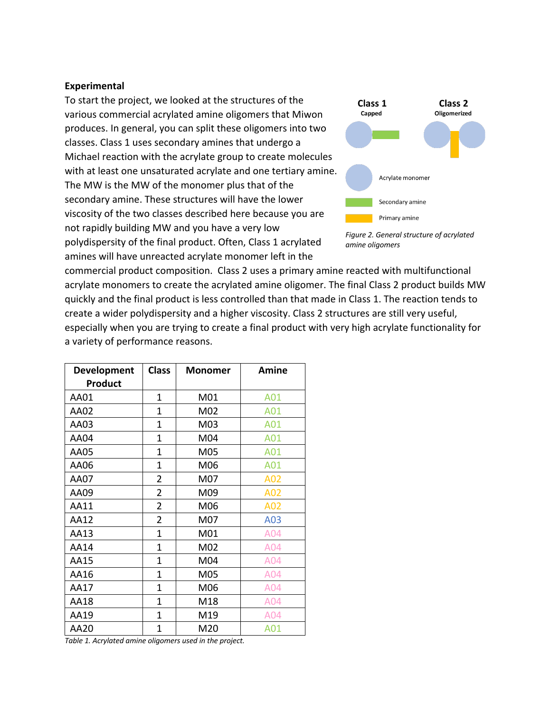#### **Experimental**

To start the project, we looked at the structures of the various commercial acrylated amine oligomers that Miwon produces. In general, you can split these oligomers into two classes. Class 1 uses secondary amines that undergo a Michael reaction with the acrylate group to create molecules with at least one unsaturated acrylate and one tertiary amine. The MW is the MW of the monomer plus that of the secondary amine. These structures will have the lower viscosity of the two classes described here because you are not rapidly building MW and you have a very low polydispersity of the final product. Often, Class 1 acrylated amines will have unreacted acrylate monomer left in the



*Figure 2. General structure of acrylated amine oligomers*

commercial product composition. Class 2 uses a primary amine reacted with multifunctional acrylate monomers to create the acrylated amine oligomer. The final Class 2 product builds MW quickly and the final product is less controlled than that made in Class 1. The reaction tends to create a wider polydispersity and a higher viscosity. Class 2 structures are still very useful, especially when you are trying to create a final product with very high acrylate functionality for a variety of performance reasons.

| Development<br><b>Product</b> | <b>Class</b>   | <b>Monomer</b> | Amine |
|-------------------------------|----------------|----------------|-------|
| AA01                          | 1              | M01            | A01   |
| AA02                          | 1              | M02            | A01   |
| AA03                          | 1              | M03            | A01   |
| <b>AA04</b>                   | 1              | M04            | A01   |
| AA05                          | $\mathbf{1}$   | M05            | A01   |
| AA06                          | $\mathbf{1}$   | M06            | A01   |
| AA07                          | 2              | M07            | A02   |
| AA09                          | $\overline{2}$ | M09            | A02   |
| AA11                          | $\overline{2}$ | M06            | A02   |
| AA12                          | $\overline{2}$ | M07            | A03   |
| AA13                          | $\mathbf{1}$   | M01            | A04   |
| AA14                          | 1              | M02            | A04   |
| AA15                          | $\overline{1}$ | M04            | A04   |
| AA16                          | $\mathbf{1}$   | M05            | A04   |
| AA17                          | 1              | M06            | A04   |
| AA18                          | 1              | M18            | A04   |
| AA19                          | 1              | M19            | A04   |
| AA20                          | 1              | M20            | A01   |

*Table 1. Acrylated amine oligomers used in the project.*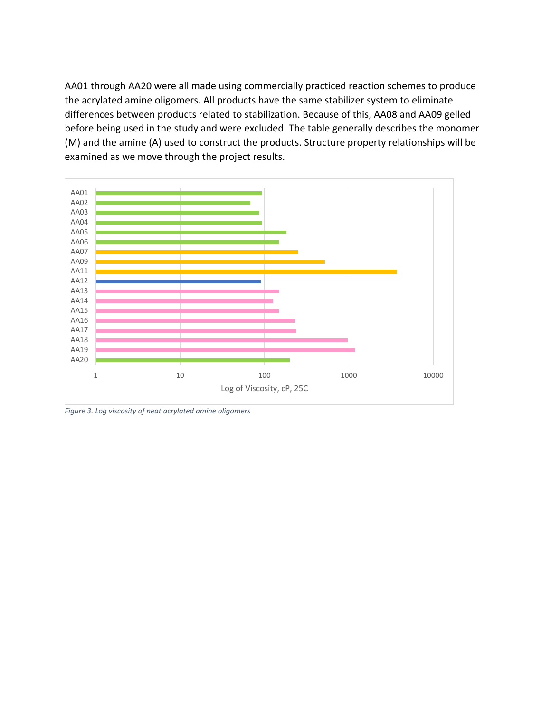AA01 through AA20 were all made using commercially practiced reaction schemes to produce the acrylated amine oligomers. All products have the same stabilizer system to eliminate differences between products related to stabilization. Because of this, AA08 and AA09 gelled before being used in the study and were excluded. The table generally describes the monomer (M) and the amine (A) used to construct the products. Structure property relationships will be examined as we move through the project results.



*Figure 3. Log viscosity of neat acrylated amine oligomers*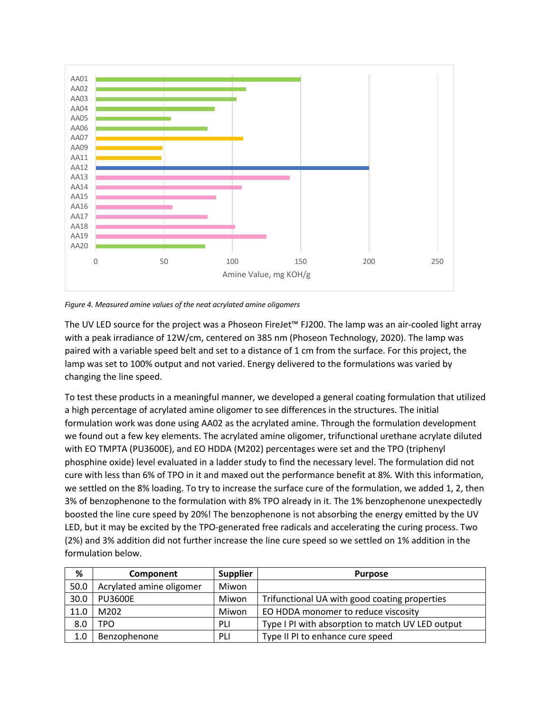

*Figure 4. Measured amine values of the neat acrylated amine oligomers*

The UV LED source for the project was a Phoseon FireJet™ FJ200. The lamp was an air-cooled light array with a peak irradiance of 12W/cm, centered on 385 nm (Phoseon Technology, 2020). The lamp was paired with a variable speed belt and set to a distance of 1 cm from the surface. For this project, the lamp was set to 100% output and not varied. Energy delivered to the formulations was varied by changing the line speed.

To test these products in a meaningful manner, we developed a general coating formulation that utilized a high percentage of acrylated amine oligomer to see differences in the structures. The initial formulation work was done using AA02 as the acrylated amine. Through the formulation development we found out a few key elements. The acrylated amine oligomer, trifunctional urethane acrylate diluted with EO TMPTA (PU3600E), and EO HDDA (M202) percentages were set and the TPO (triphenyl phosphine oxide) level evaluated in a ladder study to find the necessary level. The formulation did not cure with less than 6% of TPO in it and maxed out the performance benefit at 8%. With this information, we settled on the 8% loading. To try to increase the surface cure of the formulation, we added 1, 2, then 3% of benzophenone to the formulation with 8% TPO already in it. The 1% benzophenone unexpectedly boosted the line cure speed by 20%! The benzophenone is not absorbing the energy emitted by the UV LED, but it may be excited by the TPO-generated free radicals and accelerating the curing process. Two (2%) and 3% addition did not further increase the line cure speed so we settled on 1% addition in the formulation below.

| %    | Component                | <b>Supplier</b> | <b>Purpose</b>                                   |
|------|--------------------------|-----------------|--------------------------------------------------|
| 50.0 | Acrylated amine oligomer | Miwon           |                                                  |
| 30.0 | <b>PU3600E</b>           | Miwon           | Trifunctional UA with good coating properties    |
| 11.0 | M202                     | Miwon           | EO HDDA monomer to reduce viscosity              |
| 8.0  | TPO                      | PLI             | Type I PI with absorption to match UV LED output |
| 1.0  | Benzophenone             | PLI             | Type II PI to enhance cure speed                 |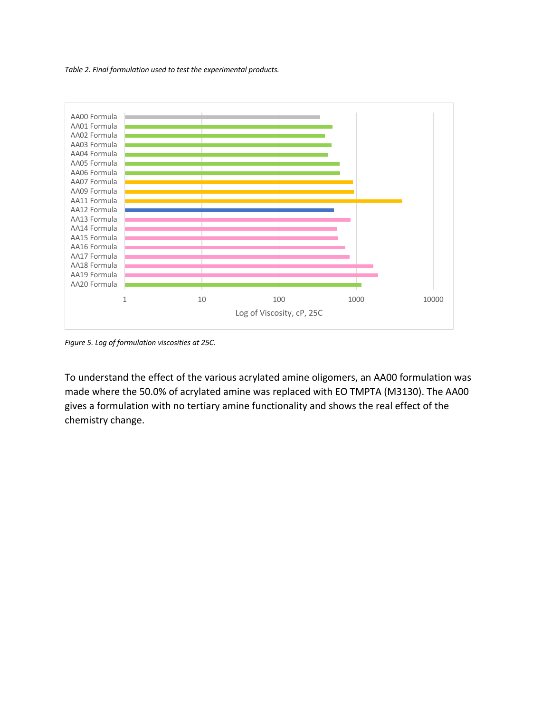*Table 2. Final formulation used to test the experimental products.*



*Figure 5. Log of formulation viscosities at 25C.*

To understand the effect of the various acrylated amine oligomers, an AA00 formulation was made where the 50.0% of acrylated amine was replaced with EO TMPTA (M3130). The AA00 gives a formulation with no tertiary amine functionality and shows the real effect of the chemistry change.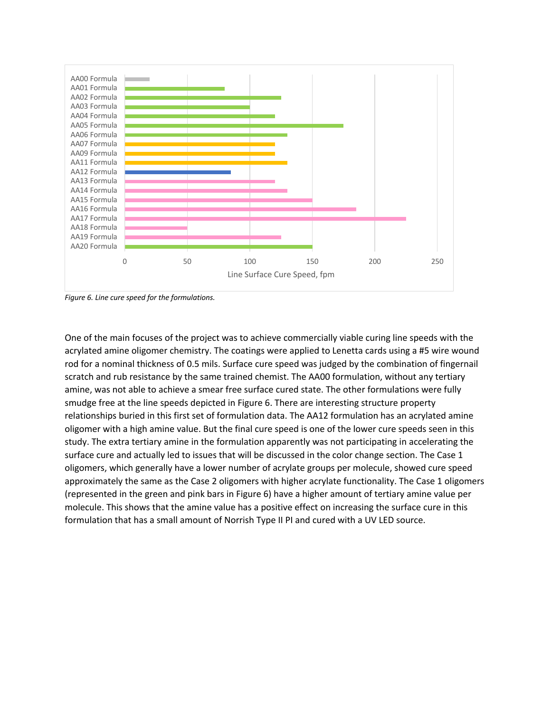

*Figure 6. Line cure speed for the formulations.*

One of the main focuses of the project was to achieve commercially viable curing line speeds with the acrylated amine oligomer chemistry. The coatings were applied to Lenetta cards using a #5 wire wound rod for a nominal thickness of 0.5 mils. Surface cure speed was judged by the combination of fingernail scratch and rub resistance by the same trained chemist. The AA00 formulation, without any tertiary amine, was not able to achieve a smear free surface cured state. The other formulations were fully smudge free at the line speeds depicted in Figure 6. There are interesting structure property relationships buried in this first set of formulation data. The AA12 formulation has an acrylated amine oligomer with a high amine value. But the final cure speed is one of the lower cure speeds seen in this study. The extra tertiary amine in the formulation apparently was not participating in accelerating the surface cure and actually led to issues that will be discussed in the color change section. The Case 1 oligomers, which generally have a lower number of acrylate groups per molecule, showed cure speed approximately the same as the Case 2 oligomers with higher acrylate functionality. The Case 1 oligomers (represented in the green and pink bars in Figure 6) have a higher amount of tertiary amine value per molecule. This shows that the amine value has a positive effect on increasing the surface cure in this formulation that has a small amount of Norrish Type II PI and cured with a UV LED source.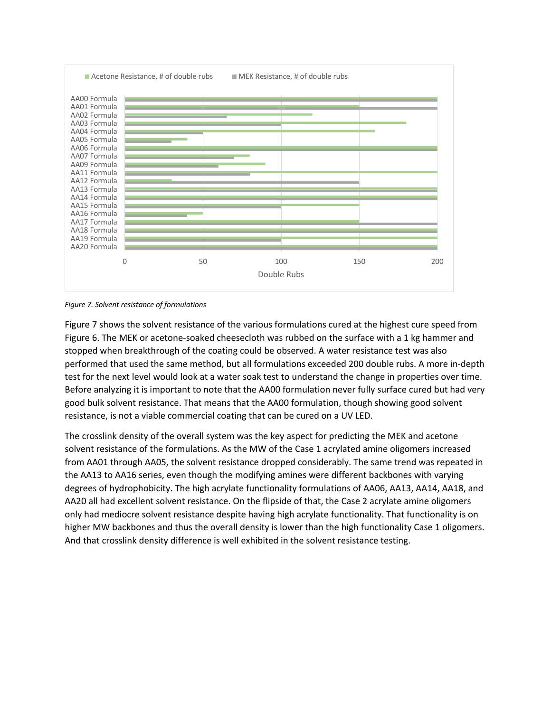

*Figure 7. Solvent resistance of formulations*

Figure 7 shows the solvent resistance of the various formulations cured at the highest cure speed from Figure 6. The MEK or acetone-soaked cheesecloth was rubbed on the surface with a 1 kg hammer and stopped when breakthrough of the coating could be observed. A water resistance test was also performed that used the same method, but all formulations exceeded 200 double rubs. A more in-depth test for the next level would look at a water soak test to understand the change in properties over time. Before analyzing it is important to note that the AA00 formulation never fully surface cured but had very good bulk solvent resistance. That means that the AA00 formulation, though showing good solvent resistance, is not a viable commercial coating that can be cured on a UV LED.

The crosslink density of the overall system was the key aspect for predicting the MEK and acetone solvent resistance of the formulations. As the MW of the Case 1 acrylated amine oligomers increased from AA01 through AA05, the solvent resistance dropped considerably. The same trend was repeated in the AA13 to AA16 series, even though the modifying amines were different backbones with varying degrees of hydrophobicity. The high acrylate functionality formulations of AA06, AA13, AA14, AA18, and AA20 all had excellent solvent resistance. On the flipside of that, the Case 2 acrylate amine oligomers only had mediocre solvent resistance despite having high acrylate functionality. That functionality is on higher MW backbones and thus the overall density is lower than the high functionality Case 1 oligomers. And that crosslink density difference is well exhibited in the solvent resistance testing.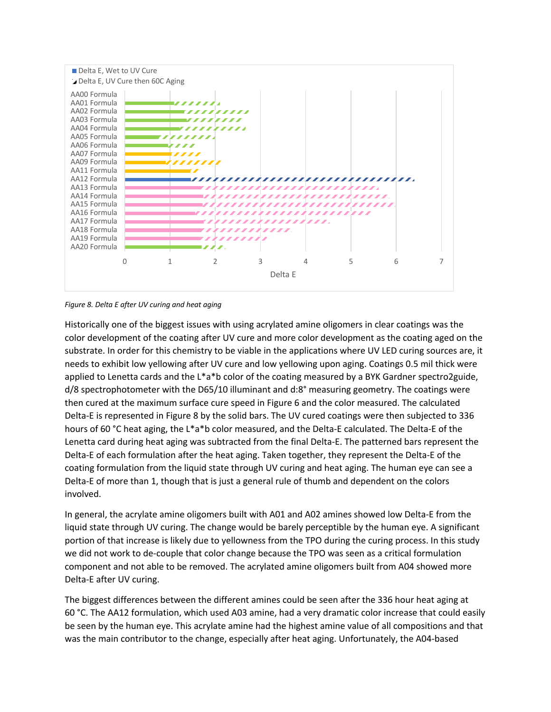

*Figure 8. Delta E after UV curing and heat aging*

Historically one of the biggest issues with using acrylated amine oligomers in clear coatings was the color development of the coating after UV cure and more color development as the coating aged on the substrate. In order for this chemistry to be viable in the applications where UV LED curing sources are, it needs to exhibit low yellowing after UV cure and low yellowing upon aging. Coatings 0.5 mil thick were applied to Lenetta cards and the L\*a\*b color of the coating measured by a BYK Gardner spectro2guide, d/8 spectrophotometer with the D65/10 illuminant and d:8° measuring geometry. The coatings were then cured at the maximum surface cure speed in Figure 6 and the color measured. The calculated Delta-E is represented in Figure 8 by the solid bars. The UV cured coatings were then subjected to 336 hours of 60 °C heat aging, the L\*a\*b color measured, and the Delta-E calculated. The Delta-E of the Lenetta card during heat aging was subtracted from the final Delta-E. The patterned bars represent the Delta-E of each formulation after the heat aging. Taken together, they represent the Delta-E of the coating formulation from the liquid state through UV curing and heat aging. The human eye can see a Delta-E of more than 1, though that is just a general rule of thumb and dependent on the colors involved.

In general, the acrylate amine oligomers built with A01 and A02 amines showed low Delta-E from the liquid state through UV curing. The change would be barely perceptible by the human eye. A significant portion of that increase is likely due to yellowness from the TPO during the curing process. In this study we did not work to de-couple that color change because the TPO was seen as a critical formulation component and not able to be removed. The acrylated amine oligomers built from A04 showed more Delta-E after UV curing.

The biggest differences between the different amines could be seen after the 336 hour heat aging at 60 °C. The AA12 formulation, which used A03 amine, had a very dramatic color increase that could easily be seen by the human eye. This acrylate amine had the highest amine value of all compositions and that was the main contributor to the change, especially after heat aging. Unfortunately, the A04-based